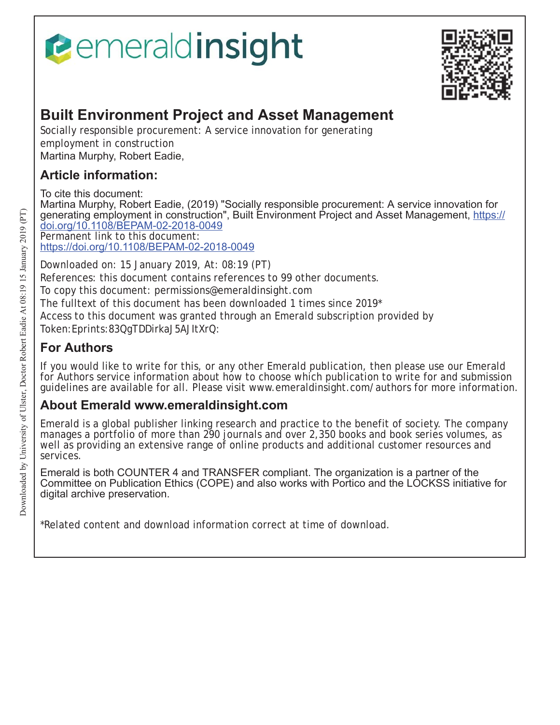# Pemeraldinsight



# **Built Environment Project and Asset Management**

Socially responsible procurement: A service innovation for generating employment in construction Martina Murphy, Robert Eadie,

## **Article information:**

To cite this document:

Martina Murphy, Robert Eadie, (2019) "Socially responsible procurement: A service innovation for generating employment in construction", Built Environment Project and Asset Management, <u>https://</u> doi.org/10.1108/BEPAM-02-2018-0049 Permanent link to this document:

https://doi.org/10.1108/BEPAM-02-2018-0049

Downloaded on: 15 January 2019, At: 08:19 (PT) References: this document contains references to 99 other documents. To copy this document: permissions@emeraldinsight.com The fulltext of this document has been downloaded 1 times since 2019\* Access to this document was granted through an Emerald subscription provided by Token:Eprints:83QgTDDirkaJ5AJItXrQ:

## **For Authors**

If you would like to write for this, or any other Emerald publication, then please use our Emerald for Authors service information about how to choose which publication to write for and submission guidelines are available for all. Please visit www.emeraldinsight.com/authors for more information.

## **About Emerald www.emeraldinsight.com**

Emerald is a global publisher linking research and practice to the benefit of society. The company manages a portfolio of more than 290 journals and over 2,350 books and book series volumes, as well as providing an extensive range of online products and additional customer resources and services.

Emerald is both COUNTER 4 and TRANSFER compliant. The organization is a partner of the Committee on Publication Ethics (COPE) and also works with Portico and the LOCKSS initiative for digital archive preservation.

\*Related content and download information correct at time of download.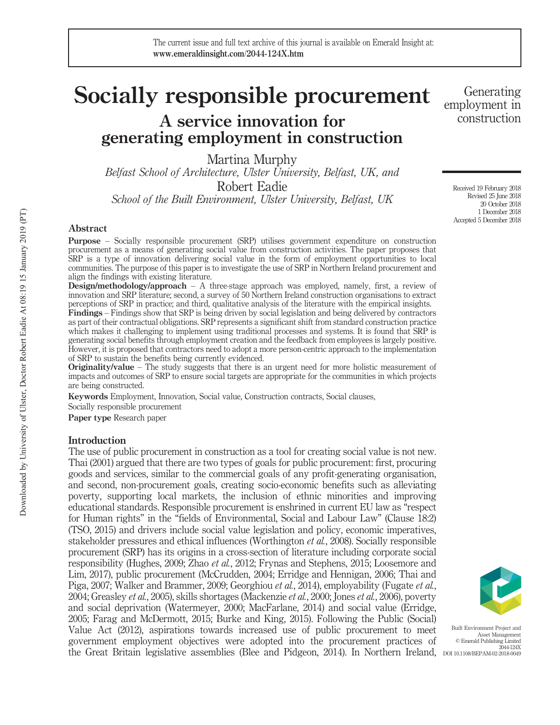# Socially responsible procurement A service innovation for

generating employment in construction

Martina Murphy

Belfast School of Architecture, Ulster University, Belfast, UK, and Robert Eadie

School of the Built Environment, Ulster University, Belfast, UK

#### Abstract

Purpose – Socially responsible procurement (SRP) utilises government expenditure on construction procurement as a means of generating social value from construction activities. The paper proposes that SRP is a type of innovation delivering social value in the form of employment opportunities to local communities. The purpose of this paper is to investigate the use of SRP in Northern Ireland procurement and align the findings with existing literature.

Design/methodology/approach – A three-stage approach was employed, namely, first, a review of innovation and SRP literature; second, a survey of 50 Northern Ireland construction organisations to extract perceptions of SRP in practice; and third, qualitative analysis of the literature with the empirical insights.

Findings – Findings show that SRP is being driven by social legislation and being delivered by contractors as part of their contractual obligations. SRP represents a significant shift from standard construction practice which makes it challenging to implement using traditional processes and systems. It is found that SRP is generating social benefits through employment creation and the feedback from employees is largely positive. However, it is proposed that contractors need to adopt a more person-centric approach to the implementation of SRP to sustain the benefits being currently evidenced.

Originality/value – The study suggests that there is an urgent need for more holistic measurement of impacts and outcomes of SRP to ensure social targets are appropriate for the communities in which projects are being constructed.

Keywords Employment, Innovation, Social value, Construction contracts, Social clauses,

Socially responsible procurement

Paper type Research paper

#### **Introduction**

The use of public procurement in construction as a tool for creating social value is not new. Thai (2001) argued that there are two types of goals for public procurement: first, procuring goods and services, similar to the commercial goals of any profit-generating organisation, and second, non-procurement goals, creating socio-economic benefits such as alleviating poverty, supporting local markets, the inclusion of ethnic minorities and improving educational standards. Responsible procurement is enshrined in current EU law as "respect for Human rights" in the "fields of Environmental, Social and Labour Law" (Clause 18:2) (TSO, 2015) and drivers include social value legislation and policy, economic imperatives, stakeholder pressures and ethical influences (Worthington et al., 2008). Socially responsible procurement (SRP) has its origins in a cross-section of literature including corporate social responsibility (Hughes, 2009; Zhao et al., 2012; Frynas and Stephens, 2015; Loosemore and Lim, 2017), public procurement (McCrudden, 2004; Erridge and Hennigan, 2006; Thai and Piga, 2007; Walker and Brammer, 2009; Georghiou et al., 2014), employability (Fugate et al., 2004; Greasley et al., 2005), skills shortages (Mackenzie et al., 2000; Jones et al., 2006), poverty and social deprivation (Watermeyer, 2000; MacFarlane, 2014) and social value (Erridge, 2005; Farag and McDermott, 2015; Burke and King, 2015). Following the Public (Social) Value Act (2012), aspirations towards increased use of public procurement to meet government employment objectives were adopted into the procurement practices of the Great Britain legislative assemblies (Blee and Pidgeon, 2014). In Northern Ireland, DOI 10.1108/BEPAM-02-2018-0049



Built Environment Project and Asset Management © Emerald Publishing Limited 2044-124X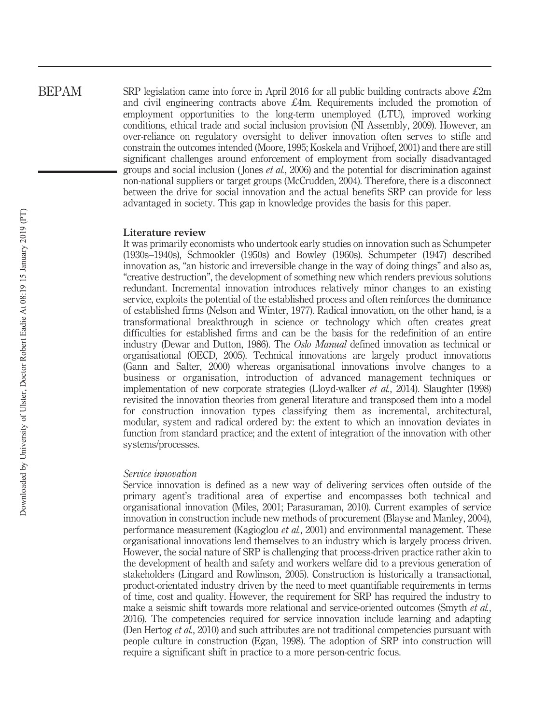SRP legislation came into force in April 2016 for all public building contracts above  $\pounds 2m$ and civil engineering contracts above  $\mathcal{L}4m$ . Requirements included the promotion of employment opportunities to the long-term unemployed (LTU), improved working conditions, ethical trade and social inclusion provision (NI Assembly, 2009). However, an over-reliance on regulatory oversight to deliver innovation often serves to stifle and constrain the outcomes intended (Moore, 1995; Koskela and Vrijhoef, 2001) and there are still significant challenges around enforcement of employment from socially disadvantaged groups and social inclusion (Jones *et al.*, 2006) and the potential for discrimination against non-national suppliers or target groups (McCrudden, 2004). Therefore, there is a disconnect between the drive for social innovation and the actual benefits SRP can provide for less advantaged in society. This gap in knowledge provides the basis for this paper.

#### Literature review

It was primarily economists who undertook early studies on innovation such as Schumpeter (1930s–1940s), Schmookler (1950s) and Bowley (1960s). Schumpeter (1947) described innovation as, "an historic and irreversible change in the way of doing things" and also as, "creative destruction", the development of something new which renders previous solutions redundant. Incremental innovation introduces relatively minor changes to an existing service, exploits the potential of the established process and often reinforces the dominance of established firms (Nelson and Winter, 1977). Radical innovation, on the other hand, is a transformational breakthrough in science or technology which often creates great difficulties for established firms and can be the basis for the redefinition of an entire industry (Dewar and Dutton, 1986). The *Oslo Manual* defined innovation as technical or organisational (OECD, 2005). Technical innovations are largely product innovations (Gann and Salter, 2000) whereas organisational innovations involve changes to a business or organisation, introduction of advanced management techniques or implementation of new corporate strategies (Lloyd-walker *et al.*, 2014). Slaughter (1998) revisited the innovation theories from general literature and transposed them into a model for construction innovation types classifying them as incremental, architectural, modular, system and radical ordered by: the extent to which an innovation deviates in function from standard practice; and the extent of integration of the innovation with other systems/processes.

#### Service innovation

Service innovation is defined as a new way of delivering services often outside of the primary agent's traditional area of expertise and encompasses both technical and organisational innovation (Miles, 2001; Parasuraman, 2010). Current examples of service innovation in construction include new methods of procurement (Blayse and Manley, 2004), performance measurement (Kagioglou et al., 2001) and environmental management. These organisational innovations lend themselves to an industry which is largely process driven. However, the social nature of SRP is challenging that process-driven practice rather akin to the development of health and safety and workers welfare did to a previous generation of stakeholders (Lingard and Rowlinson, 2005). Construction is historically a transactional, product-orientated industry driven by the need to meet quantifiable requirements in terms of time, cost and quality. However, the requirement for SRP has required the industry to make a seismic shift towards more relational and service-oriented outcomes (Smyth *et al.*, 2016). The competencies required for service innovation include learning and adapting (Den Hertog *et al.*, 2010) and such attributes are not traditional competencies pursuant with people culture in construction (Egan, 1998). The adoption of SRP into construction will require a significant shift in practice to a more person-centric focus.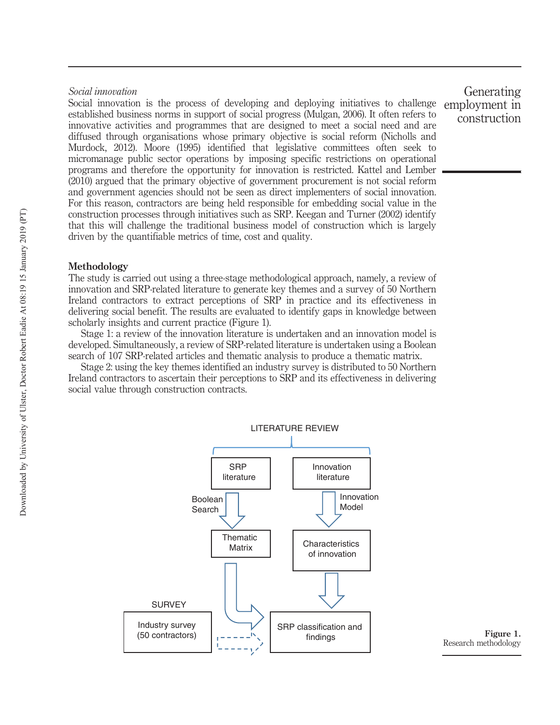#### Social innovation

Social innovation is the process of developing and deploying initiatives to challenge established business norms in support of social progress (Mulgan, 2006). It often refers to innovative activities and programmes that are designed to meet a social need and are diffused through organisations whose primary objective is social reform (Nicholls and Murdock, 2012). Moore (1995) identified that legislative committees often seek to micromanage public sector operations by imposing specific restrictions on operational programs and therefore the opportunity for innovation is restricted. Kattel and Lember (2010) argued that the primary objective of government procurement is not social reform and government agencies should not be seen as direct implementers of social innovation. For this reason, contractors are being held responsible for embedding social value in the construction processes through initiatives such as SRP. Keegan and Turner (2002) identify that this will challenge the traditional business model of construction which is largely driven by the quantifiable metrics of time, cost and quality.

#### Methodology

The study is carried out using a three-stage methodological approach, namely, a review of innovation and SRP-related literature to generate key themes and a survey of 50 Northern Ireland contractors to extract perceptions of SRP in practice and its effectiveness in delivering social benefit. The results are evaluated to identify gaps in knowledge between scholarly insights and current practice (Figure 1).

Stage 1: a review of the innovation literature is undertaken and an innovation model is developed. Simultaneously, a review of SRP-related literature is undertaken using a Boolean search of 107 SRP-related articles and thematic analysis to produce a thematic matrix.

Stage 2: using the key themes identified an industry survey is distributed to 50 Northern Ireland contractors to ascertain their perceptions to SRP and its effectiveness in delivering social value through construction contracts.



Research methodology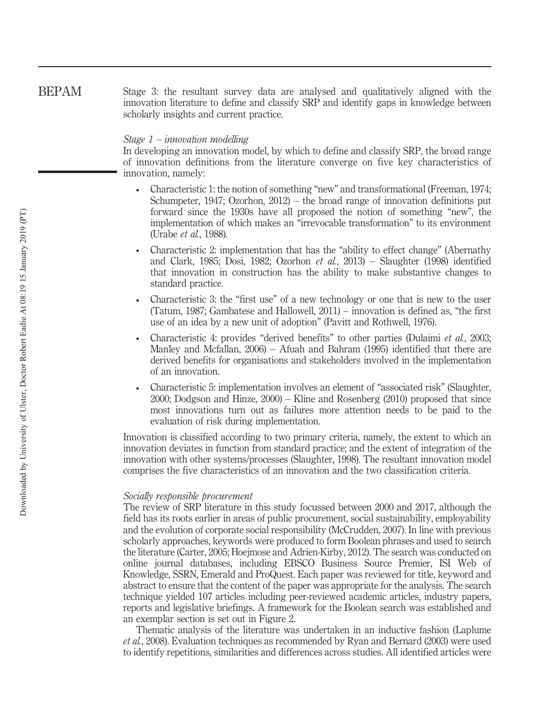Stage 3: the resultant survey data are analysed and qualitatively aligned with the innovation literature to define and classify SRP and identify gaps in knowledge between scholarly insights and current practice. BEPAM

#### Stage 1 – innovation modelling

In developing an innovation model, by which to define and classify SRP, the broad range of innovation definitions from the literature converge on five key characteristics of innovation, namely:

- Characteristic 1: the notion of something "new" and transformational (Freeman, 1974; Schumpeter, 1947; Ozorhon, 2012) – the broad range of innovation definitions put forward since the 1930s have all proposed the notion of something "new", the implementation of which makes an "irrevocable transformation" to its environment (Urabe et al., 1988).
- Characteristic 2: implementation that has the "ability to effect change" (Abernathy and Clark, 1985; Dosi, 1982; Ozorhon et al., 2013) – Slaughter (1998) identified that innovation in construction has the ability to make substantive changes to standard practice.
- Characteristic 3: the "first use" of a new technology or one that is new to the user (Tatum, 1987; Gambatese and Hallowell, 2011) – innovation is defined as, "the first use of an idea by a new unit of adoption" (Pavitt and Rothwell, 1976).
- Characteristic 4: provides "derived benefits" to other parties (Dulaimi et al., 2003; Manley and Mcfallan, 2006) – Afuah and Bahram (1995) identified that there are derived benefits for organisations and stakeholders involved in the implementation of an innovation.
- Characteristic 5: implementation involves an element of "associated risk" (Slaughter, 2000; Dodgson and Hinze, 2000) – Kline and Rosenberg (2010) proposed that since most innovations turn out as failures more attention needs to be paid to the evaluation of risk during implementation.

Innovation is classified according to two primary criteria, namely, the extent to which an innovation deviates in function from standard practice; and the extent of integration of the innovation with other systems/processes (Slaughter, 1998). The resultant innovation model comprises the five characteristics of an innovation and the two classification criteria.

#### Socially responsible procurement

The review of SRP literature in this study focussed between 2000 and 2017, although the field has its roots earlier in areas of public procurement, social sustainability, employability and the evolution of corporate social responsibility (McCrudden, 2007). In line with previous scholarly approaches, keywords were produced to form Boolean phrases and used to search the literature (Carter, 2005; Hoejmose and Adrien-Kirby, 2012). The search was conducted on online journal databases, including EBSCO Business Source Premier, ISI Web of Knowledge, SSRN, Emerald and ProQuest. Each paper was reviewed for title, keyword and abstract to ensure that the content of the paper was appropriate for the analysis. The search technique yielded 107 articles including peer-reviewed academic articles, industry papers, reports and legislative briefings. A framework for the Boolean search was established and an exemplar section is set out in Figure 2.

Thematic analysis of the literature was undertaken in an inductive fashion (Laplume et al., 2008). Evaluation techniques as recommended by Ryan and Bernard (2003) were used to identify repetitions, similarities and differences across studies. All identified articles were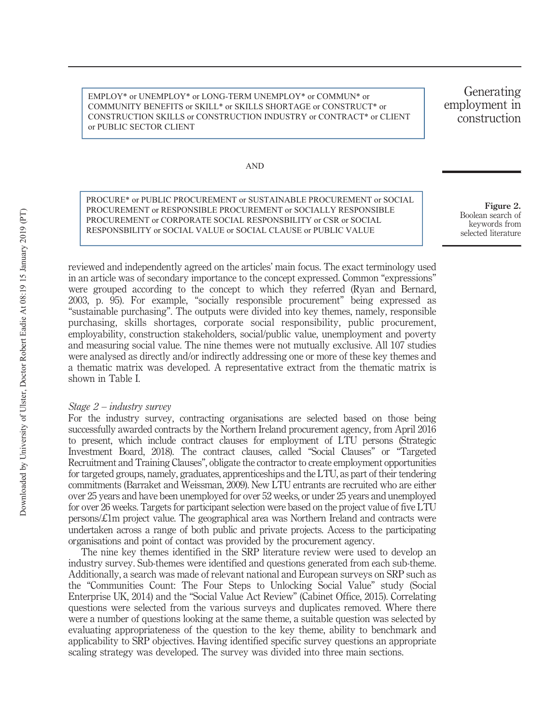EMPLOY\* or UNEMPLOY\* or LONG-TERM UNEMPLOY\* or COMMUN\* or COMMUNITY BENEFITS or SKILL\* or SKILLS SHORTAGE or CONSTRUCT\* or CONSTRUCTION SKILLS or CONSTRUCTION INDUSTRY or CONTRACT\* or CLIENT or PUBLIC SECTOR CLIENT

Generating employment in construction

AND

PROCURE\* or PUBLIC PROCUREMENT or SUSTAINABLE PROCUREMENT or SOCIAL PROCUREMENT or RESPONSIBLE PROCUREMENT or SOCIALLY RESPONSIBLE PROCUREMENT or CORPORATE SOCIAL RESPONSBILITY or CSR or SOCIAL RESPONSBILITY or SOCIAL VALUE or SOCIAL CLAUSE or PUBLIC VALUE

Boolean search of keywords from selected literature

reviewed and independently agreed on the articles' main focus. The exact terminology used in an article was of secondary importance to the concept expressed. Common "expressions" were grouped according to the concept to which they referred (Ryan and Bernard, 2003, p. 95). For example, "socially responsible procurement" being expressed as "sustainable purchasing". The outputs were divided into key themes, namely, responsible purchasing, skills shortages, corporate social responsibility, public procurement, employability, construction stakeholders, social/public value, unemployment and poverty and measuring social value. The nine themes were not mutually exclusive. All 107 studies were analysed as directly and/or indirectly addressing one or more of these key themes and a thematic matrix was developed. A representative extract from the thematic matrix is shown in Table I.

#### Stage 2 – industry survey

For the industry survey, contracting organisations are selected based on those being successfully awarded contracts by the Northern Ireland procurement agency, from April 2016 to present, which include contract clauses for employment of LTU persons (Strategic Investment Board, 2018). The contract clauses, called "Social Clauses" or "Targeted Recruitment and Training Clauses", obligate the contractor to create employment opportunities for targeted groups, namely, graduates, apprenticeships and the LTU, as part of their tendering commitments (Barraket and Weissman, 2009). New LTU entrants are recruited who are either over 25 years and have been unemployed for over 52 weeks, or under 25 years and unemployed for over 26 weeks. Targets for participant selection were based on the project value of five LTU persons/£1m project value. The geographical area was Northern Ireland and contracts were undertaken across a range of both public and private projects. Access to the participating organisations and point of contact was provided by the procurement agency.

The nine key themes identified in the SRP literature review were used to develop an industry survey. Sub-themes were identified and questions generated from each sub-theme. Additionally, a search was made of relevant national and European surveys on SRP such as the "Communities Count: The Four Steps to Unlocking Social Value" study (Social Enterprise UK, 2014) and the "Social Value Act Review" (Cabinet Office, 2015). Correlating questions were selected from the various surveys and duplicates removed. Where there were a number of questions looking at the same theme, a suitable question was selected by evaluating appropriateness of the question to the key theme, ability to benchmark and applicability to SRP objectives. Having identified specific survey questions an appropriate scaling strategy was developed. The survey was divided into three main sections.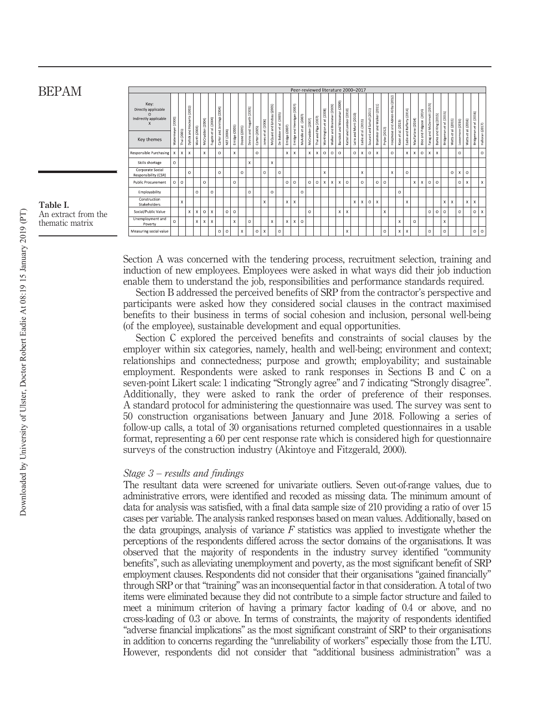|                                                      |             |              |                             |              |                  |                           |                            |            |                |              |                |               |                           |                            |                  |                |                             |                       |                  |                      |                           | Peer-reviewed literature 2000-2017 |                           |                           |                 |                         |                  |                           |              |                     |                    |                    |                   |                       |                            |                 |               |              |                  |                     |                         |                 |
|------------------------------------------------------|-------------|--------------|-----------------------------|--------------|------------------|---------------------------|----------------------------|------------|----------------|--------------|----------------|---------------|---------------------------|----------------------------|------------------|----------------|-----------------------------|-----------------------|------------------|----------------------|---------------------------|------------------------------------|---------------------------|---------------------------|-----------------|-------------------------|------------------|---------------------------|--------------|---------------------|--------------------|--------------------|-------------------|-----------------------|----------------------------|-----------------|---------------|--------------|------------------|---------------------|-------------------------|-----------------|
| Key:<br>Directly applicable<br>Indirectly applicable | (2000)<br>ä |              | Dyllick and Hockerts (2002) |              |                  | Fugate et al. (2004)      | Carter and Jennings (2004) |            |                |              | Hogarth (2005) |               | (2006)<br>đ,              | McQuaid and Lindsay (2005) | (2005)           |                | Erridge and Hennigan (2007) | McArdle et al. (2007) |                  | Thai and Piga (2007) | Worthington et al. (2008) | and Brammer (2009)                 | and Weissman (2009)       | (2010)                    | and Mont (2010) | $ol.\left( 2011\right)$ | (2011)<br>Sohail | Brammer and Walker (2011) |              | Adrien-Kirby (2012) |                    | (2014)             |                   | (2014)<br>and Pidgeon | Farag and McDermott (2015) | and King (2015) | et al. (2015) | al. (2015)   |                  |                     | Bridgeman et al. (2016) |                 |
| Key themes                                           | Watermeye   | Thai (2001)  |                             | Worth (2003) | McCrudden (2004) |                           |                            | NEF (2004) | Erridge (2005) | Doane (2005) | and<br>Devins  | Carter (2005) | t,<br>Jones               |                            | De Bakker et al. | Erridge (2007) |                             |                       | McCrudden (2007) |                      |                           | Walker a                           | Barraket                  | Kattel and Lember         | Leire:          | t<br>Eadle.             | Sourani and      |                           | Pryke (2012) | Hoejmose and        | Koen et al. (2013) | Eadie and Rafferty | MacFarlane (2014) | Blee                  |                            | Burke:          | Bridgeman     | ť<br>Watts   | Loosemore (2016) | Watts et al. (2016) |                         | Halloran (2017) |
| Responsible Purchasing                               | X           | $\mathsf{x}$ | $\times$                    |              | X                |                           | $\circ$                    |            | x              |              |                | $\circ$       |                           |                            |                  | $\mathsf{x}$   | X                           |                       | $\mathbf{x}$     | X                    | O                         | $\circ$                            | $\circ$                   |                           | $\circ$         | $\mathsf{x}$            | $\circ$          | $\mathbf{x}$              |              | $\circ$             |                    | X                  | x                 | O                     | x                          | X               |               |              | $\circ$          |                     |                         | $\circ$         |
| Skills shortage                                      | $\circ$     |              |                             |              |                  |                           |                            |            |                |              | X              |               |                           | X                          |                  |                |                             |                       |                  |                      |                           |                                    |                           |                           |                 |                         |                  |                           |              |                     |                    |                    |                   |                       |                            |                 |               |              |                  |                     |                         |                 |
| Corporate Social<br>Responsibility (CSR)             |             |              | $\circ$                     |              |                  |                           | $\circ$                    |            |                | $\circ$      |                |               | $\circ$                   |                            | $\circ$          |                |                             |                       |                  |                      | X                         |                                    |                           |                           |                 | X                       |                  |                           |              | X                   |                    | $\circ$            |                   |                       |                            |                 |               | $\circ$      | $\mathsf{x}$     | $\circ$             |                         |                 |
| <b>Public Procurement</b>                            | $\circ$     | $\circ$      |                             |              | $\circ$          |                           |                            |            | O              |              |                |               |                           |                            |                  | $\circ$        | $\circ$                     |                       | $\circ$          | $\circ$              | X                         | X                                  | $\boldsymbol{\mathsf{x}}$ | $\circ$                   |                 | $\circ$                 |                  | $\circ$                   | $\circ$      |                     |                    |                    | x                 | X                     | $\circ$                    | $\Omega$        |               |              | $\circ$          | X                   |                         | X               |
| Employability                                        |             |              |                             | $\circ$      |                  | $\circ$                   |                            |            |                |              | $\circ$        |               |                           | $\circ$                    |                  |                |                             | $\circ$               |                  |                      |                           |                                    |                           |                           |                 |                         |                  |                           |              |                     | $\circ$            |                    |                   |                       |                            |                 |               |              |                  |                     |                         |                 |
| Construction<br>Stakeholders                         |             | X            |                             |              |                  |                           |                            |            |                |              |                |               | X                         |                            |                  | X              | X                           |                       |                  |                      |                           |                                    |                           |                           | X               | $\times$                | $\circ$          | $\mathbf{x}$              |              |                     |                    | $\mathsf{x}$       |                   |                       |                            |                 | X             | $\mathsf{x}$ |                  | X                   | X                       |                 |
| Social/Public Value                                  |             |              | $\boldsymbol{\mathsf{x}}$   | X            | $\circ$          | $\boldsymbol{\mathsf{x}}$ |                            | $\Omega$   | O              |              |                |               |                           |                            |                  |                |                             |                       | $\Omega$         |                      |                           |                                    | $\boldsymbol{\mathsf{x}}$ | $\boldsymbol{\mathsf{x}}$ |                 |                         |                  |                           | X            |                     |                    |                    |                   |                       | $\circ$                    | $\Omega$        | $\Omega$      |              | $\circ$          |                     | O                       | $\mathsf{x}$    |
| Unemployment and<br>Poverty                          | $\circ$     |              |                             | $\times$     | X                | $\mathsf{x}$              |                            |            | x              |              | $\circ$        |               |                           | $\times$                   |                  | x              | x                           | $\circ$               |                  |                      |                           |                                    |                           |                           |                 |                         |                  |                           |              |                     | $\mathsf{x}$       |                    | $\circ$           |                       |                            |                 | X             |              |                  |                     |                         |                 |
| Measuring social value                               |             |              |                             |              |                  |                           | $\circ$                    | $\Omega$   |                | x            |                | $\circ$       | $\boldsymbol{\mathsf{x}}$ |                            | $\circ$          |                |                             |                       |                  |                      |                           |                                    |                           | X                         |                 |                         |                  |                           | O            |                     | X                  | X                  |                   |                       | $\circ$                    |                 | $\circ$       |              |                  |                     | 0                       | $\circ$         |

Section A was concerned with the tendering process, recruitment selection, training and induction of new employees. Employees were asked in what ways did their job induction enable them to understand the job, responsibilities and performance standards required.

Section B addressed the perceived benefits of SRP from the contractor's perspective and participants were asked how they considered social clauses in the contract maximised benefits to their business in terms of social cohesion and inclusion, personal well-being (of the employee), sustainable development and equal opportunities.

Section C explored the perceived benefits and constraints of social clauses by the employer within six categories, namely, health and well-being; environment and context; relationships and connectedness; purpose and growth; employability; and sustainable employment. Respondents were asked to rank responses in Sections B and C on a seven-point Likert scale: 1 indicating "Strongly agree" and 7 indicating "Strongly disagree". Additionally, they were asked to rank the order of preference of their responses. A standard protocol for administering the questionnaire was used. The survey was sent to 50 construction organisations between January and June 2018. Following a series of follow-up calls, a total of 30 organisations returned completed questionnaires in a usable format, representing a 60 per cent response rate which is considered high for questionnaire surveys of the construction industry (Akintoye and Fitzgerald, 2000).

#### Stage 3 – results and findings

The resultant data were screened for univariate outliers. Seven out-of-range values, due to administrative errors, were identified and recoded as missing data. The minimum amount of data for analysis was satisfied, with a final data sample size of 210 providing a ratio of over 15 cases per variable. The analysis ranked responses based on mean values. Additionally, based on the data groupings, analysis of variance  $F$  statistics was applied to investigate whether the perceptions of the respondents differed across the sector domains of the organisations. It was observed that the majority of respondents in the industry survey identified "community benefits", such as alleviating unemployment and poverty, as the most significant benefit of SRP employment clauses. Respondents did not consider that their organisations "gained financially" through SRP or that"training" was an inconsequential factor in that consideration. A total of two items were eliminated because they did not contribute to a simple factor structure and failed to meet a minimum criterion of having a primary factor loading of 0.4 or above, and no cross-loading of 0.3 or above. In terms of constraints, the majority of respondents identified "adverse financial implications" as the most significant constraint of SRP to their organisations in addition to concerns regarding the "unreliability of workers" especially those from the LTU. However, respondents did not consider that "additional business administration" was a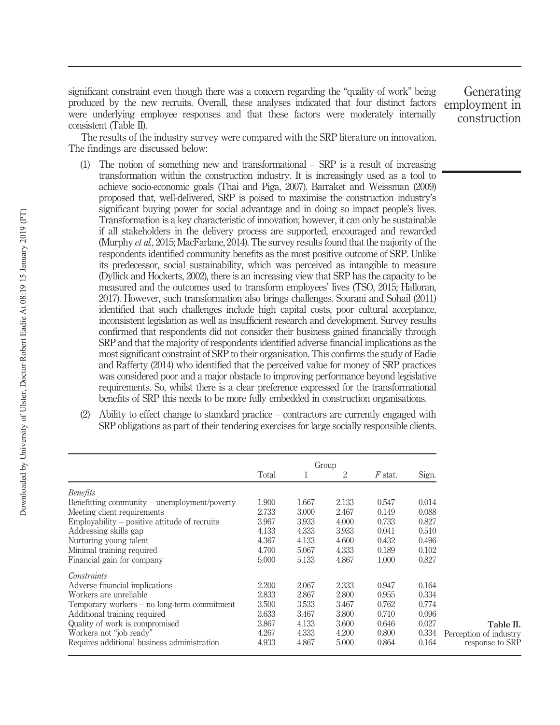significant constraint even though there was a concern regarding the "quality of work" being produced by the new recruits. Overall, these analyses indicated that four distinct factors were underlying employee responses and that these factors were moderately internally consistent (Table II).

Generating employment in construction

The results of the industry survey were compared with the SRP literature on innovation. The findings are discussed below:

- The notion of something new and transformational  $-$  SRP is a result of increasing transformation within the construction industry. It is increasingly used as a tool to achieve socio-economic goals (Thai and Piga, 2007). Barraket and Weissman (2009) proposed that, well-delivered, SRP is poised to maximise the construction industry's significant buying power for social advantage and in doing so impact people's lives. Transformation is a key characteristic of innovation; however, it can only be sustainable if all stakeholders in the delivery process are supported, encouraged and rewarded (Murphy et al., 2015; MacFarlane, 2014). The survey results found that the majority of the respondents identified community benefits as the most positive outcome of SRP. Unlike its predecessor, social sustainability, which was perceived as intangible to measure (Dyllick and Hockerts, 2002), there is an increasing view that SRP has the capacity to be measured and the outcomes used to transform employees' lives (TSO, 2015; Halloran, 2017). However, such transformation also brings challenges. Sourani and Sohail (2011) identified that such challenges include high capital costs, poor cultural acceptance, inconsistent legislation as well as insufficient research and development. Survey results confirmed that respondents did not consider their business gained financially through SRP and that the majority of respondents identified adverse financial implications as the most significant constraint of SRP to their organisation. This confirms the study of Eadie and Rafferty (2014) who identified that the perceived value for money of SRP practices was considered poor and a major obstacle to improving performance beyond legislative requirements. So, whilst there is a clear preference expressed for the transformational benefits of SRP this needs to be more fully embedded in construction organisations.
- (2) Ability to effect change to standard practice contractors are currently engaged with SRP obligations as part of their tendering exercises for large socially responsible clients.

|                                                 |       |       | Group |           |       |                        |
|-------------------------------------------------|-------|-------|-------|-----------|-------|------------------------|
|                                                 | Total |       | 2     | $F$ stat. | Sign. |                        |
| <i>Benefits</i>                                 |       |       |       |           |       |                        |
| Benefitting community – unemployment/poverty    | 1.900 | 1.667 | 2.133 | 0.547     | 0.014 |                        |
| Meeting client requirements                     | 2.733 | 3.000 | 2.467 | 0.149     | 0.088 |                        |
| $Employability - positive$ attitude of recruits | 3.967 | 3.933 | 4.000 | 0.733     | 0.827 |                        |
| Addressing skills gap                           | 4.133 | 4.333 | 3.933 | 0.041     | 0.510 |                        |
| Nurturing young talent                          | 4.367 | 4.133 | 4.600 | 0.432     | 0.496 |                        |
| Minimal training required                       | 4.700 | 5.067 | 4.333 | 0.189     | 0.102 |                        |
| Financial gain for company                      | 5.000 | 5.133 | 4.867 | 1.000     | 0.827 |                        |
| Constraints                                     |       |       |       |           |       |                        |
| Adverse financial implications                  | 2.200 | 2.067 | 2.333 | 0.947     | 0.164 |                        |
| Workers are unreliable                          | 2.833 | 2.867 | 2.800 | 0.955     | 0.334 |                        |
| Temporary workers – no long-term commitment     | 3.500 | 3.533 | 3.467 | 0.762     | 0.774 |                        |
| Additional training required                    | 3.633 | 3.467 | 3.800 | 0.710     | 0.096 |                        |
| Quality of work is compromised                  | 3.867 | 4.133 | 3.600 | 0.646     | 0.027 | Table II.              |
| Workers not "job ready"                         | 4.267 | 4.333 | 4.200 | 0.800     | 0.334 | Perception of industry |
| Requires additional business administration     | 4.933 | 4.867 | 5.000 | 0.864     | 0.164 | response to SRP        |
|                                                 |       |       |       |           |       |                        |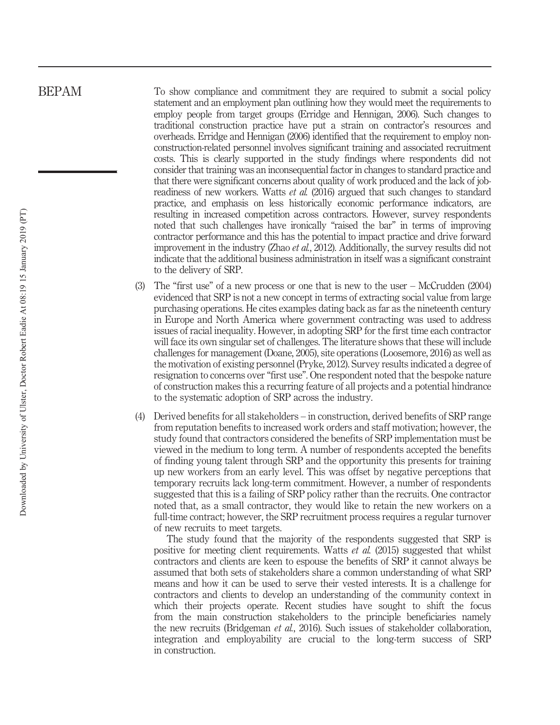To show compliance and commitment they are required to submit a social policy statement and an employment plan outlining how they would meet the requirements to employ people from target groups (Erridge and Hennigan, 2006). Such changes to traditional construction practice have put a strain on contractor's resources and overheads. Erridge and Hennigan (2006) identified that the requirement to employ nonconstruction-related personnel involves significant training and associated recruitment costs. This is clearly supported in the study findings where respondents did not consider that training was an inconsequential factor in changes to standard practice and that there were significant concerns about quality of work produced and the lack of jobreadiness of new workers. Watts et al. (2016) argued that such changes to standard practice, and emphasis on less historically economic performance indicators, are resulting in increased competition across contractors. However, survey respondents noted that such challenges have ironically "raised the bar" in terms of improving contractor performance and this has the potential to impact practice and drive forward improvement in the industry (Zhao et al., 2012). Additionally, the survey results did not indicate that the additional business administration in itself was a significant constraint to the delivery of SRP.

- (3) The "first use" of a new process or one that is new to the user McCrudden (2004) evidenced that SRP is not a new concept in terms of extracting social value from large purchasing operations. He cites examples dating back as far as the nineteenth century in Europe and North America where government contracting was used to address issues of racial inequality. However, in adopting SRP for the first time each contractor will face its own singular set of challenges. The literature shows that these will include challenges for management (Doane, 2005), site operations (Loosemore, 2016) as well as the motivation of existing personnel (Pryke, 2012). Survey results indicated a degree of resignation to concerns over "first use". One respondent noted that the bespoke nature of construction makes this a recurring feature of all projects and a potential hindrance to the systematic adoption of SRP across the industry.
- (4) Derived benefits for all stakeholders in construction, derived benefits of SRP range from reputation benefits to increased work orders and staff motivation; however, the study found that contractors considered the benefits of SRP implementation must be viewed in the medium to long term. A number of respondents accepted the benefits of finding young talent through SRP and the opportunity this presents for training up new workers from an early level. This was offset by negative perceptions that temporary recruits lack long-term commitment. However, a number of respondents suggested that this is a failing of SRP policy rather than the recruits. One contractor noted that, as a small contractor, they would like to retain the new workers on a full-time contract; however, the SRP recruitment process requires a regular turnover of new recruits to meet targets.

The study found that the majority of the respondents suggested that SRP is positive for meeting client requirements. Watts *et al.* (2015) suggested that whilst contractors and clients are keen to espouse the benefits of SRP it cannot always be assumed that both sets of stakeholders share a common understanding of what SRP means and how it can be used to serve their vested interests. It is a challenge for contractors and clients to develop an understanding of the community context in which their projects operate. Recent studies have sought to shift the focus from the main construction stakeholders to the principle beneficiaries namely the new recruits (Bridgeman et al., 2016). Such issues of stakeholder collaboration, integration and employability are crucial to the long-term success of SRP in construction.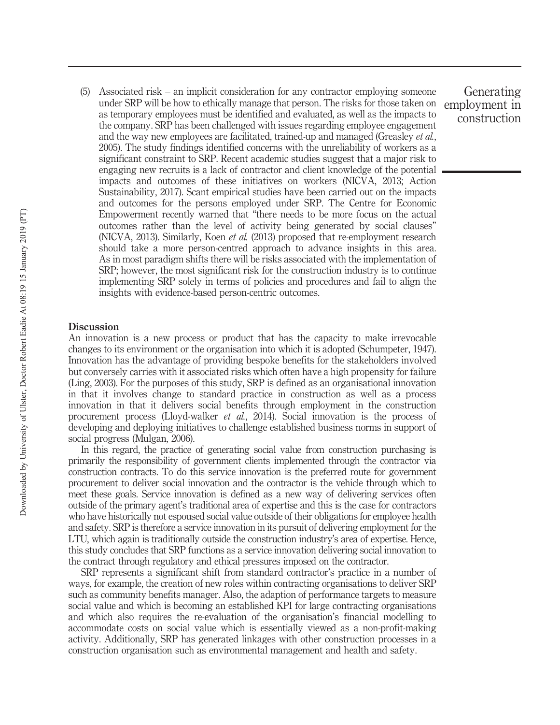(5) Associated risk – an implicit consideration for any contractor employing someone under SRP will be how to ethically manage that person. The risks for those taken on as temporary employees must be identified and evaluated, as well as the impacts to the company. SRP has been challenged with issues regarding employee engagement and the way new employees are facilitated, trained-up and managed (Greasley et al., 2005). The study findings identified concerns with the unreliability of workers as a significant constraint to SRP. Recent academic studies suggest that a major risk to engaging new recruits is a lack of contractor and client knowledge of the potential impacts and outcomes of these initiatives on workers (NICVA, 2013; Action Sustainability, 2017). Scant empirical studies have been carried out on the impacts and outcomes for the persons employed under SRP. The Centre for Economic Empowerment recently warned that "there needs to be more focus on the actual outcomes rather than the level of activity being generated by social clauses" (NICVA, 2013). Similarly, Koen et al. (2013) proposed that re-employment research should take a more person-centred approach to advance insights in this area. As in most paradigm shifts there will be risks associated with the implementation of SRP; however, the most significant risk for the construction industry is to continue implementing SRP solely in terms of policies and procedures and fail to align the insights with evidence-based person-centric outcomes.

#### **Discussion**

An innovation is a new process or product that has the capacity to make irrevocable changes to its environment or the organisation into which it is adopted (Schumpeter, 1947). Innovation has the advantage of providing bespoke benefits for the stakeholders involved but conversely carries with it associated risks which often have a high propensity for failure (Ling, 2003). For the purposes of this study, SRP is defined as an organisational innovation in that it involves change to standard practice in construction as well as a process innovation in that it delivers social benefits through employment in the construction procurement process (Lloyd-walker et al., 2014). Social innovation is the process of developing and deploying initiatives to challenge established business norms in support of social progress (Mulgan, 2006).

In this regard, the practice of generating social value from construction purchasing is primarily the responsibility of government clients implemented through the contractor via construction contracts. To do this service innovation is the preferred route for government procurement to deliver social innovation and the contractor is the vehicle through which to meet these goals. Service innovation is defined as a new way of delivering services often outside of the primary agent's traditional area of expertise and this is the case for contractors who have historically not espoused social value outside of their obligations for employee health and safety. SRP is therefore a service innovation in its pursuit of delivering employment for the LTU, which again is traditionally outside the construction industry's area of expertise. Hence, this study concludes that SRP functions as a service innovation delivering social innovation to the contract through regulatory and ethical pressures imposed on the contractor.

SRP represents a significant shift from standard contractor's practice in a number of ways, for example, the creation of new roles within contracting organisations to deliver SRP such as community benefits manager. Also, the adaption of performance targets to measure social value and which is becoming an established KPI for large contracting organisations and which also requires the re-evaluation of the organisation's financial modelling to accommodate costs on social value which is essentially viewed as a non-profit-making activity. Additionally, SRP has generated linkages with other construction processes in a construction organisation such as environmental management and health and safety.

Generating employment in construction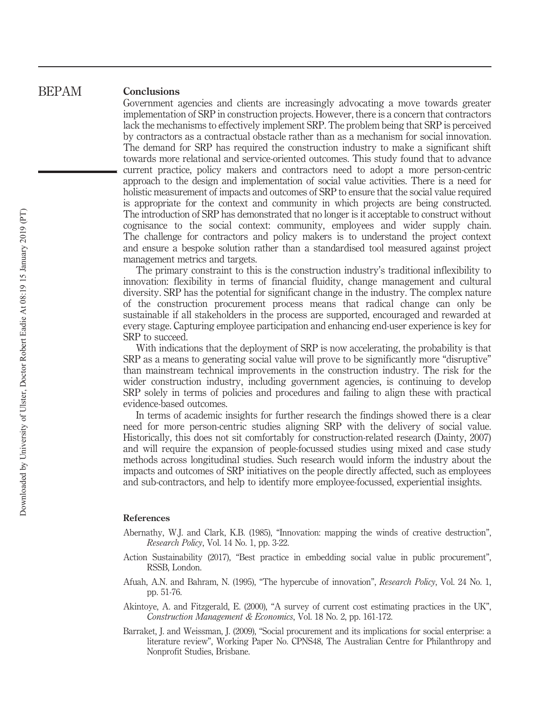#### **Conclusions** BEPAM

Government agencies and clients are increasingly advocating a move towards greater implementation of SRP in construction projects. However, there is a concern that contractors lack the mechanisms to effectively implement SRP. The problem being that SRP is perceived by contractors as a contractual obstacle rather than as a mechanism for social innovation. The demand for SRP has required the construction industry to make a significant shift towards more relational and service-oriented outcomes. This study found that to advance current practice, policy makers and contractors need to adopt a more person-centric approach to the design and implementation of social value activities. There is a need for holistic measurement of impacts and outcomes of SRP to ensure that the social value required is appropriate for the context and community in which projects are being constructed. The introduction of SRP has demonstrated that no longer is it acceptable to construct without cognisance to the social context: community, employees and wider supply chain. The challenge for contractors and policy makers is to understand the project context and ensure a bespoke solution rather than a standardised tool measured against project management metrics and targets.

The primary constraint to this is the construction industry's traditional inflexibility to innovation: flexibility in terms of financial fluidity, change management and cultural diversity. SRP has the potential for significant change in the industry. The complex nature of the construction procurement process means that radical change can only be sustainable if all stakeholders in the process are supported, encouraged and rewarded at every stage. Capturing employee participation and enhancing end-user experience is key for SRP to succeed.

With indications that the deployment of SRP is now accelerating, the probability is that SRP as a means to generating social value will prove to be significantly more "disruptive" than mainstream technical improvements in the construction industry. The risk for the wider construction industry, including government agencies, is continuing to develop SRP solely in terms of policies and procedures and failing to align these with practical evidence-based outcomes.

In terms of academic insights for further research the findings showed there is a clear need for more person-centric studies aligning SRP with the delivery of social value. Historically, this does not sit comfortably for construction-related research (Dainty, 2007) and will require the expansion of people-focussed studies using mixed and case study methods across longitudinal studies. Such research would inform the industry about the impacts and outcomes of SRP initiatives on the people directly affected, such as employees and sub-contractors, and help to identify more employee-focussed, experiential insights.

#### References

- Abernathy, W.J. and Clark, K.B. (1985), "Innovation: mapping the winds of creative destruction", Research Policy, Vol. 14 No. 1, pp. 3-22.
- Action Sustainability (2017), "Best practice in embedding social value in public procurement", RSSB, London.
- Afuah, A.N. and Bahram, N. (1995), "The hypercube of innovation", Research Policy, Vol. 24 No. 1, pp. 51-76.
- Akintoye, A. and Fitzgerald, E. (2000), "A survey of current cost estimating practices in the UK", Construction Management & Economics, Vol. 18 No. 2, pp. 161-172.
- Barraket, J. and Weissman, J. (2009), "Social procurement and its implications for social enterprise: a literature review", Working Paper No. CPNS48, The Australian Centre for Philanthropy and Nonprofit Studies, Brisbane.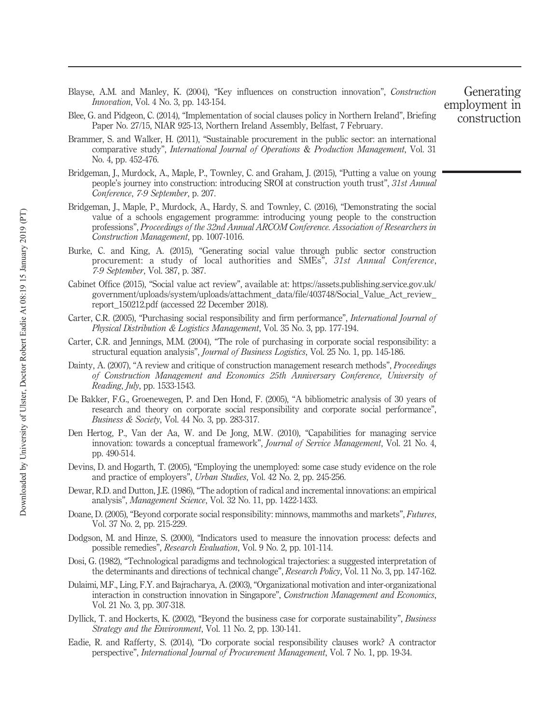- Blayse, A.M. and Manley, K. (2004), "Key influences on construction innovation", Construction Innovation, Vol. 4 No. 3, pp. 143-154.
- Blee, G. and Pidgeon, C. (2014), "Implementation of social clauses policy in Northern Ireland", Briefing Paper No. 27/15, NIAR 925-13, Northern Ireland Assembly, Belfast, 7 February.
- Brammer, S. and Walker, H. (2011), "Sustainable procurement in the public sector: an international comparative study", International Journal of Operations & Production Management, Vol. 31 No. 4, pp. 452-476.
- Bridgeman, J., Murdock, A., Maple, P., Townley, C. and Graham, J. (2015), "Putting a value on young people's journey into construction: introducing SROI at construction youth trust", 31st Annual Conference, 7-9 September, p. 207.
- Bridgeman, J., Maple, P., Murdock, A., Hardy, S. and Townley, C. (2016), "Demonstrating the social value of a schools engagement programme: introducing young people to the construction professions", Proceedings of the 32nd Annual ARCOM Conference. Association of Researchers in Construction Management, pp. 1007-1016.
- Burke, C. and King, A. (2015), "Generating social value through public sector construction procurement: a study of local authorities and SMEs", 31st Annual Conference, 7-9 September, Vol. 387, p. 387.
- Cabinet Office (2015), "Social value act review", available at: https://assets.publishing.service.gov.uk/ government/uploads/system/uploads/attachment\_data/file/403748/Social\_Value\_Act\_review\_ report\_150212.pdf (accessed 22 December 2018).
- Carter, C.R. (2005), "Purchasing social responsibility and firm performance", International Journal of Physical Distribution & Logistics Management, Vol. 35 No. 3, pp. 177-194.
- Carter, C.R. and Jennings, M.M. (2004), "The role of purchasing in corporate social responsibility: a structural equation analysis", Journal of Business Logistics, Vol. 25 No. 1, pp. 145-186.
- Dainty, A. (2007), "A review and critique of construction management research methods", Proceedings of Construction Management and Economics 25th Anniversary Conference, University of Reading, July, pp. 1533-1543.
- De Bakker, F.G., Groenewegen, P. and Den Hond, F. (2005), "A bibliometric analysis of 30 years of research and theory on corporate social responsibility and corporate social performance", Business & Society, Vol. 44 No. 3, pp. 283-317.
- Den Hertog, P., Van der Aa, W. and De Jong, M.W. (2010), "Capabilities for managing service innovation: towards a conceptual framework", Journal of Service Management, Vol. 21 No. 4, pp. 490-514.
- Devins, D. and Hogarth, T. (2005), "Employing the unemployed: some case study evidence on the role and practice of employers", Urban Studies, Vol. 42 No. 2, pp. 245-256.
- Dewar, R.D. and Dutton, J.E. (1986), "The adoption of radical and incremental innovations: an empirical analysis", Management Science, Vol. 32 No. 11, pp. 1422-1433.
- Doane, D. (2005), "Beyond corporate social responsibility: minnows, mammoths and markets", Futures, Vol. 37 No. 2, pp. 215-229.
- Dodgson, M. and Hinze, S. (2000), "Indicators used to measure the innovation process: defects and possible remedies", Research Evaluation, Vol. 9 No. 2, pp. 101-114.
- Dosi, G. (1982), "Technological paradigms and technological trajectories: a suggested interpretation of the determinants and directions of technical change", Research Policy, Vol. 11 No. 3, pp. 147-162.
- Dulaimi, M.F., Ling, F.Y. and Bajracharya, A. (2003), "Organizational motivation and inter-organizational interaction in construction innovation in Singapore", Construction Management and Economics, Vol. 21 No. 3, pp. 307-318.
- Dyllick, T. and Hockerts, K. (2002), "Beyond the business case for corporate sustainability", Business Strategy and the Environment, Vol. 11 No. 2, pp. 130-141.
- Eadie, R. and Rafferty, S. (2014), "Do corporate social responsibility clauses work? A contractor perspective", International Journal of Procurement Management, Vol. 7 No. 1, pp. 19-34.

### Generating employment in construction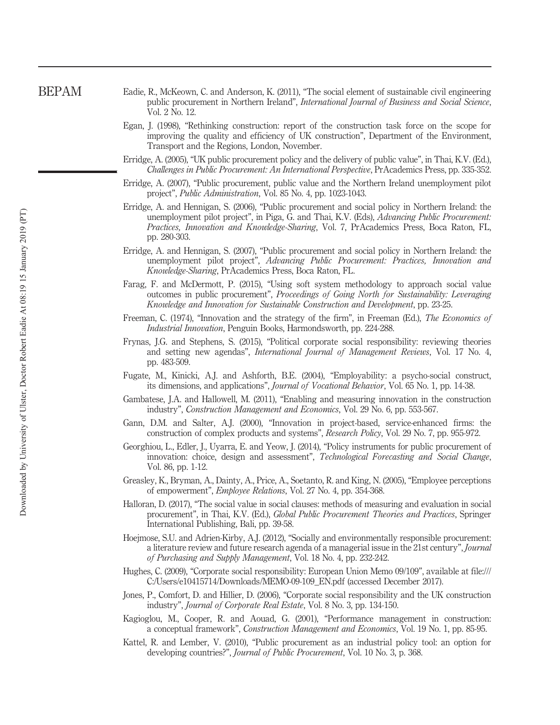- Eadie, R., McKeown, C. and Anderson, K. (2011), "The social element of sustainable civil engineering public procurement in Northern Ireland", International Journal of Business and Social Science, Vol. 2 No. 12.
	- Egan, J. (1998), "Rethinking construction: report of the construction task force on the scope for improving the quality and efficiency of UK construction", Department of the Environment, Transport and the Regions, London, November.
	- Erridge, A. (2005), "UK public procurement policy and the delivery of public value", in Thai, K.V. (Ed.), Challenges in Public Procurement: An International Perspective, PrAcademics Press, pp. 335-352.
	- Erridge, A. (2007), "Public procurement, public value and the Northern Ireland unemployment pilot project", Public Administration, Vol. 85 No. 4, pp. 1023-1043.
	- Erridge, A. and Hennigan, S. (2006), "Public procurement and social policy in Northern Ireland: the unemployment pilot project", in Piga, G. and Thai, K.V. (Eds), Advancing Public Procurement: Practices, Innovation and Knowledge-Sharing, Vol. 7, PrAcademics Press, Boca Raton, FL, pp. 280-303.
	- Erridge, A. and Hennigan, S. (2007), "Public procurement and social policy in Northern Ireland: the unemployment pilot project", Advancing Public Procurement: Practices, Innovation and Knowledge-Sharing, PrAcademics Press, Boca Raton, FL.
	- Farag, F. and McDermott, P. (2015), "Using soft system methodology to approach social value outcomes in public procurement", Proceedings of Going North for Sustainability: Leveraging Knowledge and Innovation for Sustainable Construction and Development, pp. 23-25.
	- Freeman, C. (1974), "Innovation and the strategy of the firm", in Freeman (Ed.), *The Economics of* Industrial Innovation, Penguin Books, Harmondsworth, pp. 224-288.
	- Frynas, J.G. and Stephens, S. (2015), "Political corporate social responsibility: reviewing theories and setting new agendas", International Journal of Management Reviews, Vol. 17 No. 4, pp. 483-509.
	- Fugate, M., Kinicki, A.J. and Ashforth, B.E. (2004), "Employability: a psycho-social construct, its dimensions, and applications", Journal of Vocational Behavior, Vol. 65 No. 1, pp. 14-38.
	- Gambatese, J.A. and Hallowell, M. (2011), "Enabling and measuring innovation in the construction industry", Construction Management and Economics, Vol. 29 No. 6, pp. 553-567.
	- Gann, D.M. and Salter, A.J. (2000), "Innovation in project-based, service-enhanced firms: the construction of complex products and systems", Research Policy, Vol. 29 No. 7, pp. 955-972.
	- Georghiou, L., Edler, J., Uyarra, E. and Yeow, J. (2014), "Policy instruments for public procurement of innovation: choice, design and assessment", *Technological Forecasting and Social Change*, Vol. 86, pp. 1-12.
	- Greasley, K., Bryman, A., Dainty, A., Price, A., Soetanto, R. and King, N. (2005), "Employee perceptions of empowerment", Employee Relations, Vol. 27 No. 4, pp. 354-368.
	- Halloran, D. (2017), "The social value in social clauses: methods of measuring and evaluation in social procurement", in Thai, K.V. (Ed.), Global Public Procurement Theories and Practices, Springer International Publishing, Bali, pp. 39-58.
	- Hoejmose, S.U. and Adrien-Kirby, A.J. (2012), "Socially and environmentally responsible procurement: a literature review and future research agenda of a managerial issue in the 21st century", Journal of Purchasing and Supply Management, Vol. 18 No. 4, pp. 232-242.
	- Hughes, C. (2009), "Corporate social responsibility: European Union Memo 09/109", available at file:/// C:/Users/e10415714/Downloads/MEMO-09-109\_EN.pdf (accessed December 2017).
	- Jones, P., Comfort, D. and Hillier, D. (2006), "Corporate social responsibility and the UK construction industry", Journal of Corporate Real Estate, Vol. 8 No. 3, pp. 134-150.
	- Kagioglou, M., Cooper, R. and Aouad, G. (2001), "Performance management in construction: a conceptual framework", Construction Management and Economics, Vol. 19 No. 1, pp. 85-95.
	- Kattel, R. and Lember, V. (2010), "Public procurement as an industrial policy tool: an option for developing countries?", *Journal of Public Procurement*, Vol. 10 No. 3, p. 368.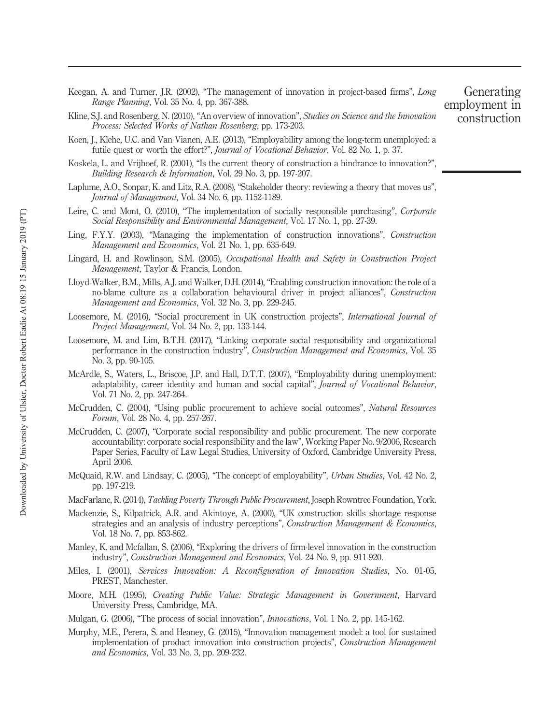- Keegan, A. and Turner, J.R. (2002), "The management of innovation in project-based firms", Long Range Planning, Vol. 35 No. 4, pp. 367-388.
- Kline, S.J. and Rosenberg, N. (2010), "An overview of innovation", Studies on Science and the Innovation Process: Selected Works of Nathan Rosenberg, pp. 173-203.
- Koen, J., Klehe, U.C. and Van Vianen, A.E. (2013), "Employability among the long-term unemployed: a futile quest or worth the effort?", Journal of Vocational Behavior, Vol. 82 No. 1, p. 37.
- Koskela, L. and Vrijhoef, R. (2001), "Is the current theory of construction a hindrance to innovation?" Building Research & Information, Vol. 29 No. 3, pp. 197-207.
- Laplume, A.O., Sonpar, K. and Litz, R.A. (2008), "Stakeholder theory: reviewing a theory that moves us", Journal of Management, Vol. 34 No. 6, pp. 1152-1189.
- Leire, C. and Mont, O. (2010), "The implementation of socially responsible purchasing", Corporate Social Responsibility and Environmental Management, Vol. 17 No. 1, pp. 27-39.
- Ling, F.Y.Y. (2003), "Managing the implementation of construction innovations", Construction Management and Economics, Vol. 21 No. 1, pp. 635-649.
- Lingard, H. and Rowlinson, S.M. (2005), Occupational Health and Safety in Construction Project Management, Taylor & Francis, London.
- Lloyd-Walker, B.M., Mills, A.J. and Walker, D.H. (2014), "Enabling construction innovation: the role of a no-blame culture as a collaboration behavioural driver in project alliances", Construction Management and Economics, Vol. 32 No. 3, pp. 229-245.
- Loosemore, M. (2016), "Social procurement in UK construction projects", International Journal of Project Management, Vol. 34 No. 2, pp. 133-144.
- Loosemore, M. and Lim, B.T.H. (2017), "Linking corporate social responsibility and organizational performance in the construction industry", Construction Management and Economics, Vol. 35 No. 3, pp. 90-105.
- McArdle, S., Waters, L., Briscoe, J.P. and Hall, D.T.T. (2007), "Employability during unemployment: adaptability, career identity and human and social capital", Journal of Vocational Behavior, Vol. 71 No. 2, pp. 247-264.
- McCrudden, C. (2004), "Using public procurement to achieve social outcomes", Natural Resources Forum, Vol. 28 No. 4, pp. 257-267.
- McCrudden, C. (2007), "Corporate social responsibility and public procurement. The new corporate accountability: corporate social responsibility and the law", Working Paper No. 9/2006, Research Paper Series, Faculty of Law Legal Studies, University of Oxford, Cambridge University Press, April 2006.
- McQuaid, R.W. and Lindsay, C. (2005), "The concept of employability", Urban Studies, Vol. 42 No. 2, pp. 197-219.
- MacFarlane, R. (2014), Tackling Poverty Through Public Procurement, Joseph Rowntree Foundation, York.
- Mackenzie, S., Kilpatrick, A.R. and Akintoye, A. (2000), "UK construction skills shortage response strategies and an analysis of industry perceptions", Construction Management & Economics, Vol. 18 No. 7, pp. 853-862.
- Manley, K. and Mcfallan, S. (2006), "Exploring the drivers of firm-level innovation in the construction industry", Construction Management and Economics, Vol. 24 No. 9, pp. 911-920.
- Miles, I. (2001), Services Innovation: A Reconfiguration of Innovation Studies, No. 01-05, PREST, Manchester.
- Moore, M.H. (1995), Creating Public Value: Strategic Management in Government, Harvard University Press, Cambridge, MA.
- Mulgan, G. (2006), "The process of social innovation", Innovations, Vol. 1 No. 2, pp. 145-162.
- Murphy, M.E., Perera, S. and Heaney, G. (2015), "Innovation management model: a tool for sustained implementation of product innovation into construction projects", Construction Management and Economics, Vol. 33 No. 3, pp. 209-232.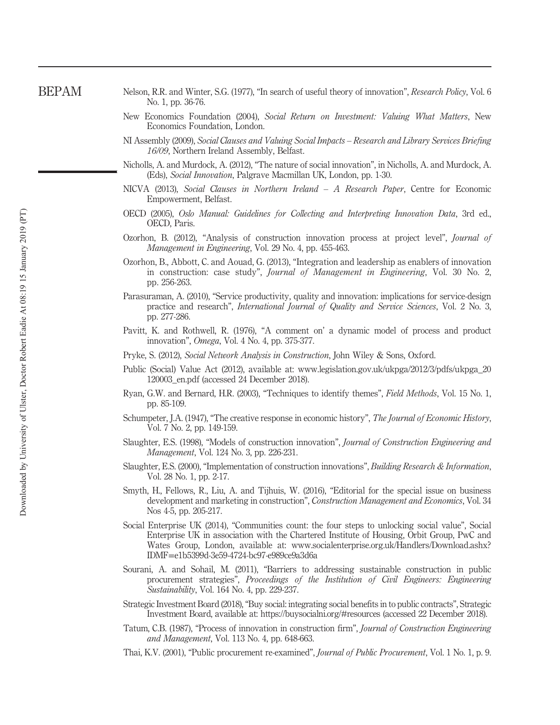- Nelson, R.R. and Winter, S.G. (1977), "In search of useful theory of innovation", Research Policy, Vol. 6 No. 1, pp. 36-76.
- New Economics Foundation (2004), Social Return on Investment: Valuing What Matters, New Economics Foundation, London.
- NI Assembly (2009), Social Clauses and Valuing Social Impacts Research and Library Services Briefing 16/09, Northern Ireland Assembly, Belfast.
- Nicholls, A. and Murdock, A. (2012), "The nature of social innovation", in Nicholls, A. and Murdock, A. (Eds), Social Innovation, Palgrave Macmillan UK, London, pp. 1-30.
- NICVA (2013), Social Clauses in Northern Ireland A Research Paper, Centre for Economic Empowerment, Belfast.
- OECD (2005), Oslo Manual: Guidelines for Collecting and Interpreting Innovation Data, 3rd ed., OECD, Paris.
- Ozorhon, B. (2012), "Analysis of construction innovation process at project level", Journal of Management in Engineering, Vol. 29 No. 4, pp. 455-463.
- Ozorhon, B., Abbott, C. and Aouad, G. (2013), "Integration and leadership as enablers of innovation in construction: case study", Journal of Management in Engineering, Vol. 30 No. 2, pp. 256-263.
- Parasuraman, A. (2010), "Service productivity, quality and innovation: implications for service-design practice and research", International Journal of Quality and Service Sciences, Vol. 2 No. 3, pp. 277-286.
- Pavitt, K. and Rothwell, R. (1976), "A comment on' a dynamic model of process and product innovation", Omega, Vol. 4 No. 4, pp. 375-377.
- Pryke, S. (2012), Social Network Analysis in Construction, John Wiley & Sons, Oxford.
- Public (Social) Value Act (2012), available at: www.legislation.gov.uk/ukpga/2012/3/pdfs/ukpga\_20 120003\_en.pdf (accessed 24 December 2018).
- Ryan, G.W. and Bernard, H.R. (2003), "Techniques to identify themes", Field Methods, Vol. 15 No. 1, pp. 85-109.
- Schumpeter, J.A. (1947), "The creative response in economic history", The Journal of Economic History, Vol. 7 No. 2, pp. 149-159.
- Slaughter, E.S. (1998), "Models of construction innovation", Journal of Construction Engineering and Management, Vol. 124 No. 3, pp. 226-231.
- Slaughter, E.S. (2000), "Implementation of construction innovations", Building Research & Information, Vol. 28 No. 1, pp. 2-17.
- Smyth, H., Fellows, R., Liu, A. and Tijhuis, W. (2016), "Editorial for the special issue on business development and marketing in construction", Construction Management and Economics, Vol. 34 Nos 4-5, pp. 205-217.
- Social Enterprise UK (2014), "Communities count: the four steps to unlocking social value", Social Enterprise UK in association with the Chartered Institute of Housing, Orbit Group, PwC and Wates Group, London, available at: www.socialenterprise.org.uk/Handlers/Download.ashx? IDMF=e1b5399d-3e59-4724-bc97-e989ce9a3d6a
- Sourani, A. and Sohail, M. (2011), "Barriers to addressing sustainable construction in public procurement strategies", Proceedings of the Institution of Civil Engineers: Engineering Sustainability, Vol. 164 No. 4, pp. 229-237.
- Strategic Investment Board (2018), "Buy social: integrating social benefits in to public contracts", Strategic Investment Board, available at: https://buysocialni.org/#resources (accessed 22 December 2018).
- Tatum, C.B. (1987), "Process of innovation in construction firm", Journal of Construction Engineering and Management, Vol. 113 No. 4, pp. 648-663.
- Thai, K.V. (2001), "Public procurement re-examined", Journal of Public Procurement, Vol. 1 No. 1, p. 9.